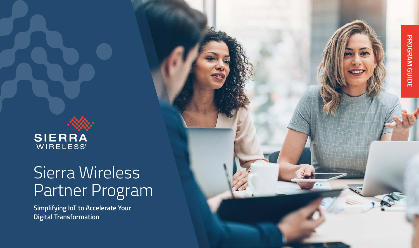

# Sierra Wireless Partner Program

**Simplifying IoT to Accelerate Your Digital Transformation**

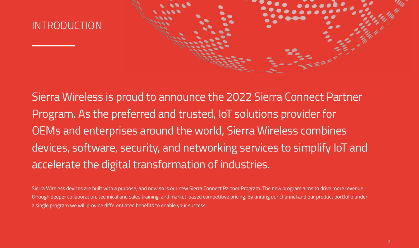

Sierra Wireless Partner Program | 2022

Sierra Wireless is proud to announce the 2022 Sierra Connect Partner Program. As the preferred and trusted, IoT solutions provider for OEMs and enterprises around the world, Sierra Wireless combines devices, software, security, and networking services to simplify IoT and accelerate the digital transformation of industries.

Sierra Wireless devices are built with a purpose, and now so is our new Sierra Connect Partner Program. The new program aims to drive more revenue through deeper collaboration, technical and sales training, and market-based competitive pricing. By uniting our channel and our product portfolio under a single program we will provide differentiated benefits to enable your success.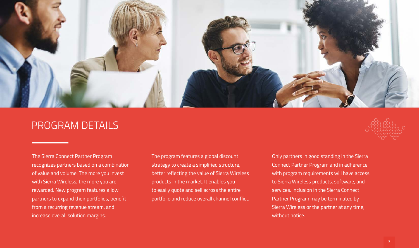

### PROGRAM DETAILS

The Sierra Connect Partner Program recognizes partners based on a combination of value and volume. The more you invest with Sierra Wireless, the more you are rewarded. New program features allow partners to expand their portfolios, benefit from a recurring revenue stream, and increase overall solution margins.

The program features a global discount strategy to create a simplified structure, better reflecting the value of Sierra Wireless products in the market. It enables you to easily quote and sell across the entire portfolio and reduce overall channel conflict.



Only partners in good standing in the Sierra Connect Partner Program and in adherence with program requirements will have access to Sierra Wireless products, software, and services. Inclusion in the Sierra Connect Partner Program may be terminated by Sierra Wireless or the partner at any time, without notice.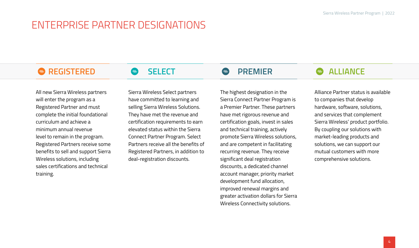## ENTERPRISE PARTNER DESIGNATIONS

### **REGISTERED SELECT PREMIER ALLIANCE**

All new Sierra Wireless partners will enter the program as a Registered Partner and must complete the initial foundational curriculum and achieve a minimum annual revenue level to remain in the program. Registered Partners receive some benefits to sell and support Sierra Wireless solutions, including sales certifications and technical training.

Sierra Wireless Select partners have committed to learning and selling Sierra Wireless Solutions. They have met the revenue and certification requirements to earn elevated status within the Sierra Connect Partner Program. Select Partners receive all the benefits of Registered Partners, in addition to deal-registration discounts.

The highest designation in the Sierra Connect Partner Program is a Premier Partner. These partners have met rigorous revenue and certification goals, invest in sales and technical training, actively promote Sierra Wireless solutions, and are competent in facilitating recurring revenue. They receive significant deal registration discounts, a dedicated channel account manager, priority market development fund allocation, improved renewal margins and greater activation dollars for Sierra Wireless Connectivity solutions.

Alliance Partner status is available to companies that develop hardware, software, solutions, and services that complement Sierra Wireless' product portfolio. By coupling our solutions with market-leading products and solutions, we can support our mutual customers with more comprehensive solutions.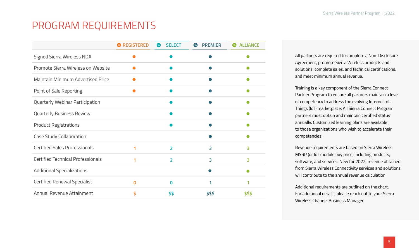## PROGRAM REQUIREMENTS

|                                      | <b>REGISTERED</b> | <b>SELECT</b><br>450 | <b>PREMIER</b> | <b>ALLIANCE</b> |
|--------------------------------------|-------------------|----------------------|----------------|-----------------|
| Signed Sierra Wireless NDA           |                   |                      |                |                 |
| Promote Sierra Wireless on Website   |                   |                      |                |                 |
| Maintain Minimum Advertised Price    |                   |                      |                |                 |
| Point of Sale Reporting              |                   |                      |                |                 |
| Quarterly Webinar Participation      |                   |                      |                |                 |
| Quarterly Business Review            |                   |                      |                |                 |
| <b>Product Registrations</b>         |                   |                      |                |                 |
| Case Study Collaboration             |                   |                      |                |                 |
| <b>Certified Sales Professionals</b> | 1                 | $\overline{2}$       | 3              | 3               |
| Certified Technical Professionals    | 1                 | $\overline{2}$       | 3              | 3               |
| <b>Additional Specializations</b>    |                   |                      |                |                 |
| Certified Renewal Specialist         | $\mathbf 0$       | 0                    | 1              |                 |
| Annual Revenue Attainment            | \$                | \$\$                 | \$\$\$         | \$\$\$          |

All partners are required to complete a Non-Disclosure Agreement, promote Sierra Wireless products and solutions, complete sales, and technical certifications, and meet minimum annual revenue.

Training is a key component of the Sierra Connect Partner Program to ensure all partners maintain a level of competency to address the evolving Internet-of-Things (IoT) marketplace. All Sierra Connect Program partners must obtain and maintain certified status annually. Customized learning plans are available to those organizations who wish to accelerate their competencies.

Revenue requirements are based on Sierra Wireless MSRP (or IoT module buy price) including products, software, and services. New for 2022, revenue obtained from Sierra Wireless Connectivity services and solutions will contribute to the annual revenue calculation.

Additional requirements are outlined on the chart. For additional details, please reach out to your Sierra Wireless Channel Business Manager.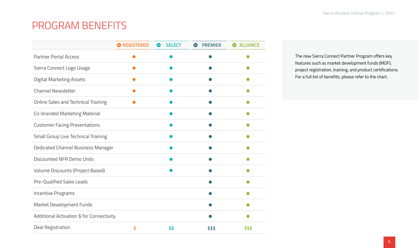## PROGRAM BENEFITS

|                                           | <b>REGISTERED</b> | <b>SELECT</b><br><b>Alley</b> | <b>PREMIER</b> | <b>ALLIANCE</b> |
|-------------------------------------------|-------------------|-------------------------------|----------------|-----------------|
| <b>Partner Portal Access</b>              |                   |                               |                |                 |
| Sierra Connect Logo Usage                 |                   |                               |                |                 |
| <b>Digital Marketing Assets</b>           |                   |                               |                |                 |
| Channel Newsletter                        |                   |                               |                |                 |
| Online Sales and Technical Training       |                   |                               |                |                 |
| Co-branded Marketing Material             |                   |                               |                |                 |
| <b>Customer Facing Presentations</b>      |                   |                               |                |                 |
| Small Group Live Technical Training       |                   |                               |                |                 |
| Dedicated Channel Business Manager        |                   |                               |                |                 |
| Discounted NFR Demo Units                 |                   |                               |                |                 |
| Volume Discounts (Project Based)          |                   |                               |                |                 |
| Pre-Qualified Sales Leads                 |                   |                               |                |                 |
| <b>Incentive Programs</b>                 |                   |                               |                |                 |
| Market Development Funds                  |                   |                               |                |                 |
| Additional Activation \$ for Connectivity |                   |                               |                |                 |
| Deal Registration                         | \$                | \$\$                          | \$\$\$         | \$\$\$          |

The new Sierra Connect Partner Program offers key features such as market development funds (MDF), project registration, training, and product certifications. For a full list of benefits, please refer to the chart.